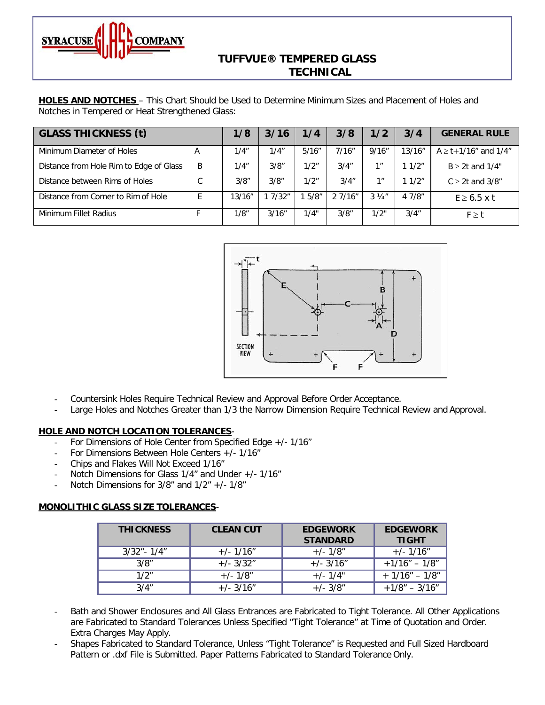

# **TUFFVUE® TEMPERED GLASS TECHNICAL**

**HOLES AND NOTCHES** – This Chart Should be Used to Determine Minimum Sizes and Placement of Holes and Notches in Tempered or Heat Strengthened Glass:

| <b>GLASS THICKNESS (t)</b>              |   | 1/8    | 3/16    | 1/4    | 3/8    | 1/2             | 3/4    | <b>GENERAL RULE</b>             |
|-----------------------------------------|---|--------|---------|--------|--------|-----------------|--------|---------------------------------|
| Minimum Diameter of Holes               | А | 1/4"   | 1/4"    | 5/16'' | 7/16"  | 9/16''          | 13/16" | $A \geq t + 1/16$ " and $1/4$ " |
| Distance from Hole Rim to Edge of Glass | B | 1/4"   | 3/8"    | 1/2"   | 3/4"   | 1 <sup>''</sup> | 11/2"  | $B \geq 2t$ and 1/4"            |
| Distance between Rims of Holes          |   | 3/8"   | 3/8"    | 1/2"   | 3/4''  | 1 <sup>''</sup> | 11/2"  | $C \geq 2t$ and $3/8$ "         |
| Distance from Corner to Rim of Hole     |   | 13/16" | 1 7/32" | 1.5/8" | 27/16" | $3\frac{1}{4}$  | 47/8"  | $E \ge 6.5$ x t                 |
| Minimum Fillet Radius                   |   | 1/8"   | 3/16"   | 1/4"   | 3/8"   | 1/2"            | 3/4"   | $F \geq t$                      |



- Countersink Holes Require Technical Review and Approval Before Order Acceptance.
- Large Holes and Notches Greater than 1/3 the Narrow Dimension Require Technical Review and Approval.

#### **HOLE AND NOTCH LOCATION TOLERANCES**-

- For Dimensions of Hole Center from Specified Edge +/- 1/16"
- For Dimensions Between Hole Centers +/- 1/16"
- Chips and Flakes Will Not Exceed 1/16"
- Notch Dimensions for Glass 1/4" and Under +/- 1/16"
- Notch Dimensions for  $3/8$ " and  $1/2$ " +/-  $1/8$ "

#### **MONOLITHIC GLASS SIZE TOLERANCES**-

| <b>THICKNESS</b> | <b>CLEAN CUT</b> | <b>EDGEWORK</b><br><b>STANDARD</b> | <b>EDGEWORK</b><br><b>TIGHT</b> |  |  |
|------------------|------------------|------------------------------------|---------------------------------|--|--|
| $3/32" - 1/4"$   | $+/- 1/16"$      | $+/-1/8"$                          | $+/- 1/16"$                     |  |  |
| 3/8"             | $+/- 3/32"$      | $+/- 3/16"$                        | $+1/16" - 1/8"$                 |  |  |
| 1/2"             | $+/- 1/8"$       | $+/- 1/4"$                         | $+1/16" - 1/8"$                 |  |  |
| 3/4"             | $+/- 3/16"$      | $+/- 3/8"$                         | $+1/8" - 3/16"$                 |  |  |

- Bath and Shower Enclosures and All Glass Entrances are Fabricated to Tight Tolerance. All Other Applications are Fabricated to Standard Tolerances Unless Specified "Tight Tolerance" at Time of Quotation and Order. Extra Charges May Apply.
- Shapes Fabricated to Standard Tolerance, Unless "Tight Tolerance" is Requested and Full Sized Hardboard Pattern or .dxf File is Submitted. Paper Patterns Fabricated to Standard Tolerance Only.